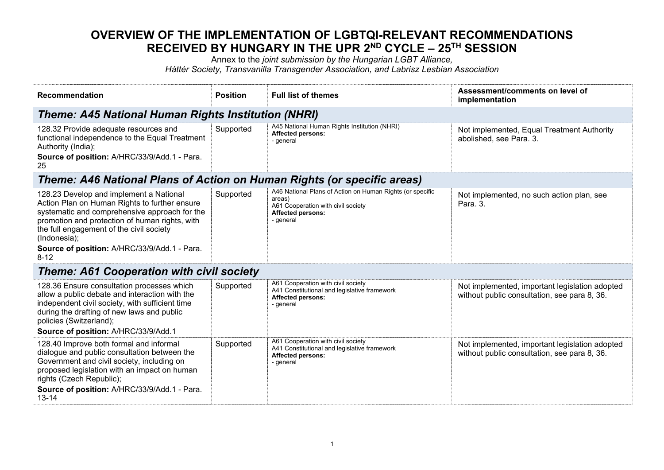## **OVERVIEW OF THE IMPLEMENTATION OF LGBTQI-RELEVANT RECOMMENDATIONS RECEIVED BY HUNGARY IN THE UPR 2ND CYCLE – 25TH SESSION**

Annex to the *joint submission by the Hungarian LGBT Alliance,*

*Háttér Society, Transvanilla Transgender Association, and Labrisz Lesbian Association*

| Recommendation                                                                                                                                                                                                                                                                                                      | <b>Position</b> | <b>Full list of themes</b>                                                                                                                         | Assessment/comments on level of<br>implementation                                              |
|---------------------------------------------------------------------------------------------------------------------------------------------------------------------------------------------------------------------------------------------------------------------------------------------------------------------|-----------------|----------------------------------------------------------------------------------------------------------------------------------------------------|------------------------------------------------------------------------------------------------|
| <b>Theme: A45 National Human Rights Institution (NHRI)</b>                                                                                                                                                                                                                                                          |                 |                                                                                                                                                    |                                                                                                |
| 128.32 Provide adequate resources and<br>functional independence to the Equal Treatment<br>Authority (India);<br>Source of position: A/HRC/33/9/Add.1 - Para.<br>25                                                                                                                                                 | Supported       | A45 National Human Rights Institution (NHRI)<br><b>Affected persons:</b><br>- general                                                              | Not implemented, Equal Treatment Authority<br>abolished, see Para. 3.                          |
| Theme: A46 National Plans of Action on Human Rights (or specific areas)                                                                                                                                                                                                                                             |                 |                                                                                                                                                    |                                                                                                |
| 128.23 Develop and implement a National<br>Action Plan on Human Rights to further ensure<br>systematic and comprehensive approach for the<br>promotion and protection of human rights, with<br>the full engagement of the civil society<br>(Indonesia);<br>Source of position: A/HRC/33/9/Add.1 - Para.<br>$8 - 12$ | Supported       | A46 National Plans of Action on Human Rights (or specific<br>areas)<br>A61 Cooperation with civil society<br><b>Affected persons:</b><br>- general | Not implemented, no such action plan, see<br>Para, 3.                                          |
| <b>Theme: A61 Cooperation with civil society</b>                                                                                                                                                                                                                                                                    |                 |                                                                                                                                                    |                                                                                                |
| 128.36 Ensure consultation processes which<br>allow a public debate and interaction with the<br>independent civil society, with sufficient time<br>during the drafting of new laws and public<br>policies (Switzerland);<br>Source of position: A/HRC/33/9/Add.1                                                    | Supported       | A61 Cooperation with civil society<br>A41 Constitutional and legislative framework<br><b>Affected persons:</b><br>- general                        | Not implemented, important legislation adopted<br>without public consultation, see para 8, 36. |
| 128.40 Improve both formal and informal<br>dialogue and public consultation between the<br>Government and civil society, including on<br>proposed legislation with an impact on human<br>rights (Czech Republic);<br>Source of position: A/HRC/33/9/Add.1 - Para.<br>$13 - 14$                                      | Supported       | A61 Cooperation with civil society<br>A41 Constitutional and legislative framework<br><b>Affected persons:</b><br>- general                        | Not implemented, important legislation adopted<br>without public consultation, see para 8, 36. |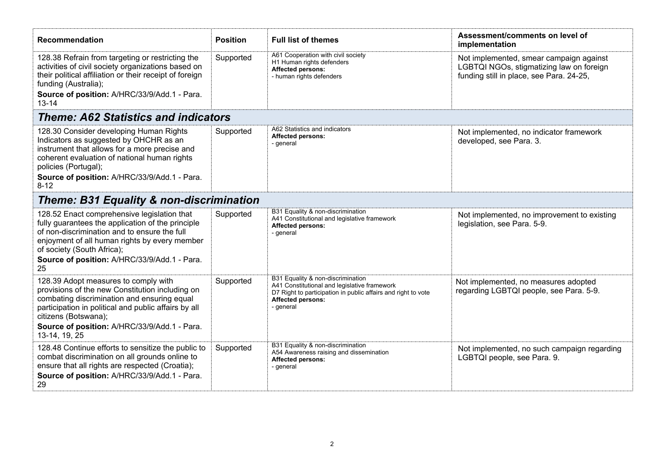| <b>Recommendation</b>                                                                                                                                                                                                                                                           | <b>Position</b> | <b>Full list of themes</b>                                                                                                                                                                  | Assessment/comments on level of<br>implementation                                                                               |
|---------------------------------------------------------------------------------------------------------------------------------------------------------------------------------------------------------------------------------------------------------------------------------|-----------------|---------------------------------------------------------------------------------------------------------------------------------------------------------------------------------------------|---------------------------------------------------------------------------------------------------------------------------------|
| 128.38 Refrain from targeting or restricting the<br>activities of civil society organizations based on<br>their political affiliation or their receipt of foreign<br>funding (Australia);<br>Source of position: A/HRC/33/9/Add.1 - Para.<br>$13 - 14$                          | Supported       | A61 Cooperation with civil society<br>H1 Human rights defenders<br><b>Affected persons:</b><br>- human rights defenders                                                                     | Not implemented, smear campaign against<br>LGBTQI NGOs, stigmatizing law on foreign<br>funding still in place, see Para. 24-25, |
| <b>Theme: A62 Statistics and indicators</b>                                                                                                                                                                                                                                     |                 |                                                                                                                                                                                             |                                                                                                                                 |
| 128.30 Consider developing Human Rights<br>Indicators as suggested by OHCHR as an<br>instrument that allows for a more precise and<br>coherent evaluation of national human rights<br>policies (Portugal);                                                                      | Supported       | A62 Statistics and indicators<br><b>Affected persons:</b><br>- general                                                                                                                      | Not implemented, no indicator framework<br>developed, see Para. 3.                                                              |
| Source of position: A/HRC/33/9/Add.1 - Para.<br>$8 - 12$                                                                                                                                                                                                                        |                 |                                                                                                                                                                                             |                                                                                                                                 |
| <b>Theme: B31 Equality &amp; non-discrimination</b>                                                                                                                                                                                                                             |                 |                                                                                                                                                                                             |                                                                                                                                 |
| 128.52 Enact comprehensive legislation that<br>fully guarantees the application of the principle<br>of non-discrimination and to ensure the full<br>enjoyment of all human rights by every member<br>of society (South Africa);<br>Source of position: A/HRC/33/9/Add.1 - Para. | Supported       | B31 Equality & non-discrimination<br>A41 Constitutional and legislative framework<br><b>Affected persons:</b><br>- general                                                                  | Not implemented, no improvement to existing<br>legislation, see Para. 5-9.                                                      |
| 25                                                                                                                                                                                                                                                                              |                 |                                                                                                                                                                                             |                                                                                                                                 |
| 128.39 Adopt measures to comply with<br>provisions of the new Constitution including on<br>combating discrimination and ensuring equal<br>participation in political and public affairs by all<br>citizens (Botswana);                                                          | Supported       | B31 Equality & non-discrimination<br>A41 Constitutional and legislative framework<br>D7 Right to participation in public affairs and right to vote<br><b>Affected persons:</b><br>- general | Not implemented, no measures adopted<br>regarding LGBTQI people, see Para. 5-9.                                                 |
| Source of position: A/HRC/33/9/Add.1 - Para.<br>13-14, 19, 25                                                                                                                                                                                                                   |                 |                                                                                                                                                                                             |                                                                                                                                 |
| 128.48 Continue efforts to sensitize the public to<br>combat discrimination on all grounds online to<br>ensure that all rights are respected (Croatia);<br>Source of position: A/HRC/33/9/Add.1 - Para.<br>29                                                                   | Supported       | B31 Equality & non-discrimination<br>A54 Awareness raising and dissemination<br><b>Affected persons:</b><br>- general                                                                       | Not implemented, no such campaign regarding<br>LGBTQI people, see Para. 9.                                                      |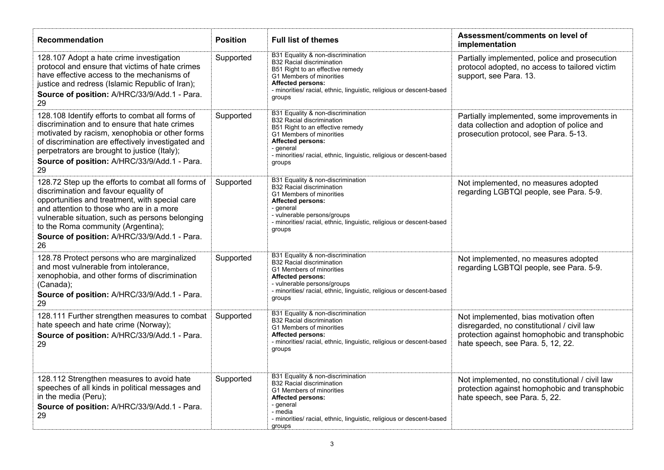| <b>Recommendation</b>                                                                                                                                                                                                                                                                                                                   | <b>Position</b> | <b>Full list of themes</b>                                                                                                                                                                                                                                       | Assessment/comments on level of<br>implementation                                                                                                                          |
|-----------------------------------------------------------------------------------------------------------------------------------------------------------------------------------------------------------------------------------------------------------------------------------------------------------------------------------------|-----------------|------------------------------------------------------------------------------------------------------------------------------------------------------------------------------------------------------------------------------------------------------------------|----------------------------------------------------------------------------------------------------------------------------------------------------------------------------|
| 128.107 Adopt a hate crime investigation<br>protocol and ensure that victims of hate crimes<br>have effective access to the mechanisms of<br>justice and redress (Islamic Republic of Iran);<br>Source of position: A/HRC/33/9/Add.1 - Para.<br>29                                                                                      | Supported       | B31 Equality & non-discrimination<br><b>B32 Racial discrimination</b><br>B51 Right to an effective remedy<br>G1 Members of minorities<br><b>Affected persons:</b><br>- minorities/ racial, ethnic, linguistic, religious or descent-based<br>groups              | Partially implemented, police and prosecution<br>protocol adopted, no access to tailored victim<br>support, see Para. 13.                                                  |
| 128.108 Identify efforts to combat all forms of<br>discrimination and to ensure that hate crimes<br>motivated by racism, xenophobia or other forms<br>of discrimination are effectively investigated and<br>perpetrators are brought to justice (Italy);<br>Source of position: A/HRC/33/9/Add.1 - Para.<br>29                          | Supported       | B31 Equality & non-discrimination<br><b>B32 Racial discrimination</b><br>B51 Right to an effective remedy<br>G1 Members of minorities<br><b>Affected persons:</b><br>- general<br>- minorities/ racial, ethnic, linguistic, religious or descent-based<br>groups | Partially implemented, some improvements in<br>data collection and adoption of police and<br>prosecution protocol, see Para. 5-13.                                         |
| 128.72 Step up the efforts to combat all forms of<br>discrimination and favour equality of<br>opportunities and treatment, with special care<br>and attention to those who are in a more<br>vulnerable situation, such as persons belonging<br>to the Roma community (Argentina);<br>Source of position: A/HRC/33/9/Add.1 - Para.<br>26 | Supported       | B31 Equality & non-discrimination<br><b>B32 Racial discrimination</b><br>G1 Members of minorities<br><b>Affected persons:</b><br>- general<br>- vulnerable persons/groups<br>- minorities/ racial, ethnic, linguistic, religious or descent-based<br>groups      | Not implemented, no measures adopted<br>regarding LGBTQI people, see Para. 5-9.                                                                                            |
| 128.78 Protect persons who are marginalized<br>and most vulnerable from intolerance,<br>xenophobia, and other forms of discrimination<br>(Canada);<br>Source of position: A/HRC/33/9/Add.1 - Para.<br>29                                                                                                                                | Supported       | B31 Equality & non-discrimination<br><b>B32 Racial discrimination</b><br>G1 Members of minorities<br><b>Affected persons:</b><br>- vulnerable persons/groups<br>- minorities/ racial, ethnic, linguistic, religious or descent-based<br>groups                   | Not implemented, no measures adopted<br>regarding LGBTQI people, see Para. 5-9.                                                                                            |
| 128.111 Further strengthen measures to combat<br>hate speech and hate crime (Norway);<br>Source of position: A/HRC/33/9/Add.1 - Para.<br>29                                                                                                                                                                                             | Supported       | B31 Equality & non-discrimination<br><b>B32 Racial discrimination</b><br>G1 Members of minorities<br><b>Affected persons:</b><br>- minorities/ racial, ethnic, linguistic, religious or descent-based<br>groups                                                  | Not implemented, bias motivation often<br>disregarded, no constitutional / civil law<br>protection against homophobic and transphobic<br>hate speech, see Para. 5, 12, 22. |
| 128.112 Strengthen measures to avoid hate<br>speeches of all kinds in political messages and<br>in the media (Peru);<br>Source of position: A/HRC/33/9/Add.1 - Para.<br>29                                                                                                                                                              | Supported       | B31 Equality & non-discrimination<br><b>B32 Racial discrimination</b><br>G1 Members of minorities<br><b>Affected persons:</b><br>- general<br>- media<br>- minorities/ racial, ethnic, linguistic, religious or descent-based<br>groups                          | Not implemented, no constitutional / civil law<br>protection against homophobic and transphobic<br>hate speech, see Para. 5, 22.                                           |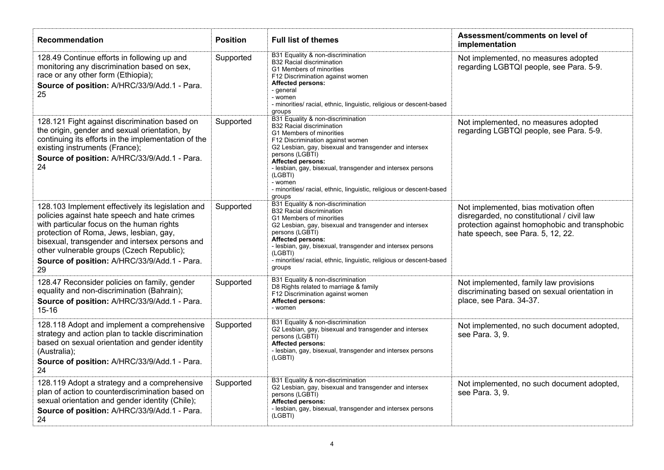| Recommendation                                                                                                                                                                                                                                                                                                                                 | <b>Position</b> | <b>Full list of themes</b>                                                                                                                                                                                                                                                                                                                                                                                           | Assessment/comments on level of<br>implementation                                                                                                                          |
|------------------------------------------------------------------------------------------------------------------------------------------------------------------------------------------------------------------------------------------------------------------------------------------------------------------------------------------------|-----------------|----------------------------------------------------------------------------------------------------------------------------------------------------------------------------------------------------------------------------------------------------------------------------------------------------------------------------------------------------------------------------------------------------------------------|----------------------------------------------------------------------------------------------------------------------------------------------------------------------------|
| 128.49 Continue efforts in following up and<br>monitoring any discrimination based on sex,<br>race or any other form (Ethiopia);<br>Source of position: A/HRC/33/9/Add.1 - Para.<br>25                                                                                                                                                         | Supported       | B31 Equality & non-discrimination<br><b>B32 Racial discrimination</b><br>G1 Members of minorities<br>F12 Discrimination against women<br><b>Affected persons:</b><br>- general<br>- women<br>- minorities/ racial, ethnic, linguistic, religious or descent-based<br>groups                                                                                                                                          | Not implemented, no measures adopted<br>regarding LGBTQI people, see Para. 5-9.                                                                                            |
| 128.121 Fight against discrimination based on<br>the origin, gender and sexual orientation, by<br>continuing its efforts in the implementation of the<br>existing instruments (France);<br>Source of position: A/HRC/33/9/Add.1 - Para.<br>24                                                                                                  | Supported       | B31 Equality & non-discrimination<br><b>B32 Racial discrimination</b><br>G1 Members of minorities<br>F12 Discrimination against women<br>G2 Lesbian, gay, bisexual and transgender and intersex<br>persons (LGBTI)<br><b>Affected persons:</b><br>- lesbian, gay, bisexual, transgender and intersex persons<br>(LGBTI)<br>- women<br>- minorities/ racial, ethnic, linguistic, religious or descent-based<br>groups | Not implemented, no measures adopted<br>regarding LGBTQI people, see Para. 5-9.                                                                                            |
| 128.103 Implement effectively its legislation and<br>policies against hate speech and hate crimes<br>with particular focus on the human rights<br>protection of Roma, Jews, lesbian, gay,<br>bisexual, transgender and intersex persons and<br>other vulnerable groups (Czech Republic);<br>Source of position: A/HRC/33/9/Add.1 - Para.<br>29 | Supported       | B31 Equality & non-discrimination<br><b>B32 Racial discrimination</b><br>G1 Members of minorities<br>G2 Lesbian, gay, bisexual and transgender and intersex<br>persons (LGBTI)<br><b>Affected persons:</b><br>- lesbian, gay, bisexual, transgender and intersex persons<br>(LGBTI)<br>- minorities/ racial, ethnic, linguistic, religious or descent-based<br>groups                                                | Not implemented, bias motivation often<br>disregarded, no constitutional / civil law<br>protection against homophobic and transphobic<br>hate speech, see Para. 5, 12, 22. |
| 128.47 Reconsider policies on family, gender<br>equality and non-discrimination (Bahrain);<br>Source of position: A/HRC/33/9/Add.1 - Para.<br>$15 - 16$                                                                                                                                                                                        | Supported       | B31 Equality & non-discrimination<br>D8 Rights related to marriage & family<br>F12 Discrimination against women<br><b>Affected persons:</b><br>- women                                                                                                                                                                                                                                                               | Not implemented, family law provisions<br>discriminating based on sexual orientation in<br>place, see Para. 34-37.                                                         |
| 128.118 Adopt and implement a comprehensive<br>strategy and action plan to tackle discrimination<br>based on sexual orientation and gender identity<br>(Australia);<br>Source of position: A/HRC/33/9/Add.1 - Para.<br>24                                                                                                                      | Supported       | B31 Equality & non-discrimination<br>G2 Lesbian, gay, bisexual and transgender and intersex<br>persons (LGBTI)<br><b>Affected persons:</b><br>- lesbian, gay, bisexual, transgender and intersex persons<br>(LGBTI)                                                                                                                                                                                                  | Not implemented, no such document adopted,<br>see Para. 3, 9.                                                                                                              |
| 128.119 Adopt a strategy and a comprehensive<br>plan of action to counterdiscrimination based on<br>sexual orientation and gender identity (Chile);<br>Source of position: A/HRC/33/9/Add.1 - Para.<br>24                                                                                                                                      | Supported       | B31 Equality & non-discrimination<br>G2 Lesbian, gay, bisexual and transgender and intersex<br>persons (LGBTI)<br><b>Affected persons:</b><br>- lesbian, gay, bisexual, transgender and intersex persons<br>(LGBTI)                                                                                                                                                                                                  | Not implemented, no such document adopted,<br>see Para. 3, 9.                                                                                                              |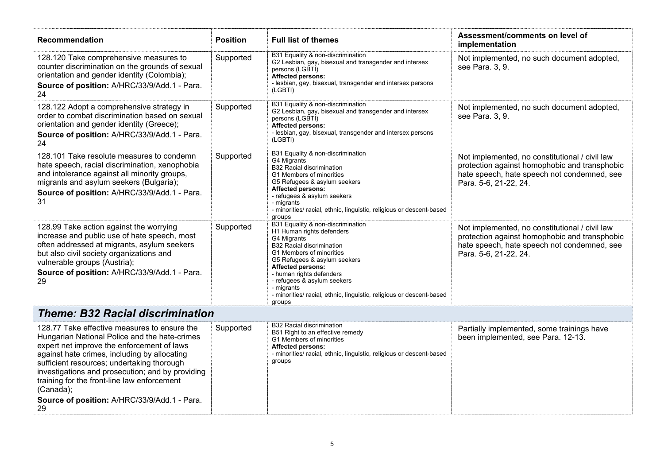| Recommendation                                                                                                                                                                                                                                                                                                                                                                                                  | <b>Position</b> | <b>Full list of themes</b>                                                                                                                                                                                                                                                                                                                                           | Assessment/comments on level of<br>implementation                                                                                                                       |  |
|-----------------------------------------------------------------------------------------------------------------------------------------------------------------------------------------------------------------------------------------------------------------------------------------------------------------------------------------------------------------------------------------------------------------|-----------------|----------------------------------------------------------------------------------------------------------------------------------------------------------------------------------------------------------------------------------------------------------------------------------------------------------------------------------------------------------------------|-------------------------------------------------------------------------------------------------------------------------------------------------------------------------|--|
| 128.120 Take comprehensive measures to<br>counter discrimination on the grounds of sexual<br>orientation and gender identity (Colombia);<br>Source of position: A/HRC/33/9/Add.1 - Para.<br>24                                                                                                                                                                                                                  | Supported       | B31 Equality & non-discrimination<br>G2 Lesbian, gay, bisexual and transgender and intersex<br>persons (LGBTI)<br>Affected persons:<br>- lesbian, gay, bisexual, transgender and intersex persons<br>(LGBTI)                                                                                                                                                         | Not implemented, no such document adopted,<br>see Para. 3, 9.                                                                                                           |  |
| 128.122 Adopt a comprehensive strategy in<br>order to combat discrimination based on sexual<br>orientation and gender identity (Greece);<br>Source of position: A/HRC/33/9/Add.1 - Para.<br>24                                                                                                                                                                                                                  | Supported       | B31 Equality & non-discrimination<br>G2 Lesbian, gay, bisexual and transgender and intersex<br>persons (LGBTI)<br><b>Affected persons:</b><br>- lesbian, gay, bisexual, transgender and intersex persons<br>(LGBTI)                                                                                                                                                  | Not implemented, no such document adopted,<br>see Para. 3, 9.                                                                                                           |  |
| 128.101 Take resolute measures to condemn<br>hate speech, racial discrimination, xenophobia<br>and intolerance against all minority groups,<br>migrants and asylum seekers (Bulgaria);<br>Source of position: A/HRC/33/9/Add.1 - Para.<br>31                                                                                                                                                                    | Supported       | B31 Equality & non-discrimination<br>G4 Migrants<br><b>B32 Racial discrimination</b><br>G1 Members of minorities<br>G5 Refugees & asylum seekers<br><b>Affected persons:</b><br>- refugees & asylum seekers<br>- migrants<br>- minorities/ racial, ethnic, linguistic, religious or descent-based<br>groups                                                          | Not implemented, no constitutional / civil law<br>protection against homophobic and transphobic<br>hate speech, hate speech not condemned, see<br>Para. 5-6, 21-22, 24. |  |
| 128.99 Take action against the worrying<br>increase and public use of hate speech, most<br>often addressed at migrants, asylum seekers<br>but also civil society organizations and<br>vulnerable groups (Austria);<br>Source of position: A/HRC/33/9/Add.1 - Para.<br>29                                                                                                                                        | Supported       | B31 Equality & non-discrimination<br>H1 Human rights defenders<br>G4 Migrants<br><b>B32 Racial discrimination</b><br>G1 Members of minorities<br>G5 Refugees & asylum seekers<br><b>Affected persons:</b><br>- human rights defenders<br>- refugees & asylum seekers<br>- migrants<br>- minorities/ racial, ethnic, linguistic, religious or descent-based<br>groups | Not implemented, no constitutional / civil law<br>protection against homophobic and transphobic<br>hate speech, hate speech not condemned, see<br>Para. 5-6, 21-22, 24. |  |
| <b>Theme: B32 Racial discrimination</b>                                                                                                                                                                                                                                                                                                                                                                         |                 |                                                                                                                                                                                                                                                                                                                                                                      |                                                                                                                                                                         |  |
| 128.77 Take effective measures to ensure the<br>Hungarian National Police and the hate-crimes<br>expert net improve the enforcement of laws<br>against hate crimes, including by allocating<br>sufficient resources; undertaking thorough<br>investigations and prosecution; and by providing<br>training for the front-line law enforcement<br>(Canada);<br>Source of position: A/HRC/33/9/Add.1 - Para.<br>29 | Supported       | <b>B32 Racial discrimination</b><br>B51 Right to an effective remedy<br>G1 Members of minorities<br><b>Affected persons:</b><br>- minorities/ racial, ethnic, linguistic, religious or descent-based<br>groups                                                                                                                                                       | Partially implemented, some trainings have<br>been implemented, see Para. 12-13.                                                                                        |  |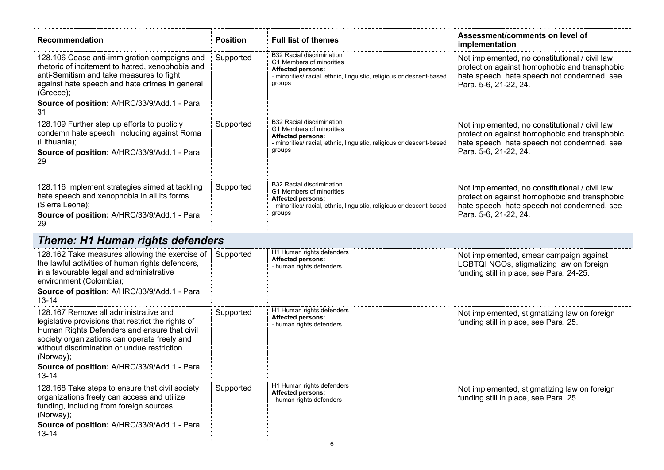| Recommendation                                                                                                                                                                                                                                                                                                       | <b>Position</b> | <b>Full list of themes</b>                                                                                                                                                 | Assessment/comments on level of<br>implementation                                                                                                                       |
|----------------------------------------------------------------------------------------------------------------------------------------------------------------------------------------------------------------------------------------------------------------------------------------------------------------------|-----------------|----------------------------------------------------------------------------------------------------------------------------------------------------------------------------|-------------------------------------------------------------------------------------------------------------------------------------------------------------------------|
| 128.106 Cease anti-immigration campaigns and<br>rhetoric of incitement to hatred, xenophobia and<br>anti-Semitism and take measures to fight<br>against hate speech and hate crimes in general<br>(Greece);<br>Source of position: A/HRC/33/9/Add.1 - Para.<br>31                                                    | Supported       | <b>B32 Racial discrimination</b><br>G1 Members of minorities<br><b>Affected persons:</b><br>- minorities/ racial, ethnic, linguistic, religious or descent-based<br>groups | Not implemented, no constitutional / civil law<br>protection against homophobic and transphobic<br>hate speech, hate speech not condemned, see<br>Para. 5-6, 21-22, 24. |
| 128.109 Further step up efforts to publicly<br>condemn hate speech, including against Roma<br>(Lithuania);<br>Source of position: A/HRC/33/9/Add.1 - Para.<br>29                                                                                                                                                     | Supported       | <b>B32 Racial discrimination</b><br>G1 Members of minorities<br><b>Affected persons:</b><br>- minorities/ racial, ethnic, linguistic, religious or descent-based<br>groups | Not implemented, no constitutional / civil law<br>protection against homophobic and transphobic<br>hate speech, hate speech not condemned, see<br>Para. 5-6, 21-22, 24. |
| 128.116 Implement strategies aimed at tackling<br>hate speech and xenophobia in all its forms<br>(Sierra Leone);<br>Source of position: A/HRC/33/9/Add.1 - Para.<br>29                                                                                                                                               | Supported       | <b>B32 Racial discrimination</b><br>G1 Members of minorities<br><b>Affected persons:</b><br>- minorities/ racial, ethnic, linguistic, religious or descent-based<br>groups | Not implemented, no constitutional / civil law<br>protection against homophobic and transphobic<br>hate speech, hate speech not condemned, see<br>Para. 5-6, 21-22, 24. |
| <b>Theme: H1 Human rights defenders</b>                                                                                                                                                                                                                                                                              |                 |                                                                                                                                                                            |                                                                                                                                                                         |
| 128.162 Take measures allowing the exercise of<br>the lawful activities of human rights defenders,<br>in a favourable legal and administrative<br>environment (Colombia);<br>Source of position: A/HRC/33/9/Add.1 - Para.<br>$13 - 14$                                                                               | Supported       | H1 Human rights defenders<br><b>Affected persons:</b><br>- human rights defenders                                                                                          | Not implemented, smear campaign against<br>LGBTQI NGOs, stigmatizing law on foreign<br>funding still in place, see Para. 24-25.                                         |
| 128.167 Remove all administrative and<br>legislative provisions that restrict the rights of<br>Human Rights Defenders and ensure that civil<br>society organizations can operate freely and<br>without discrimination or undue restriction<br>(Norway);<br>Source of position: A/HRC/33/9/Add.1 - Para.<br>$13 - 14$ | Supported       | H1 Human rights defenders<br><b>Affected persons:</b><br>- human rights defenders                                                                                          | Not implemented, stigmatizing law on foreign<br>funding still in place, see Para. 25.                                                                                   |
| 128.168 Take steps to ensure that civil society<br>organizations freely can access and utilize<br>funding, including from foreign sources<br>(Norway);<br>Source of position: A/HRC/33/9/Add.1 - Para.<br>$13 - 14$                                                                                                  | Supported       | H1 Human rights defenders<br><b>Affected persons:</b><br>- human rights defenders                                                                                          | Not implemented, stigmatizing law on foreign<br>funding still in place, see Para. 25.                                                                                   |